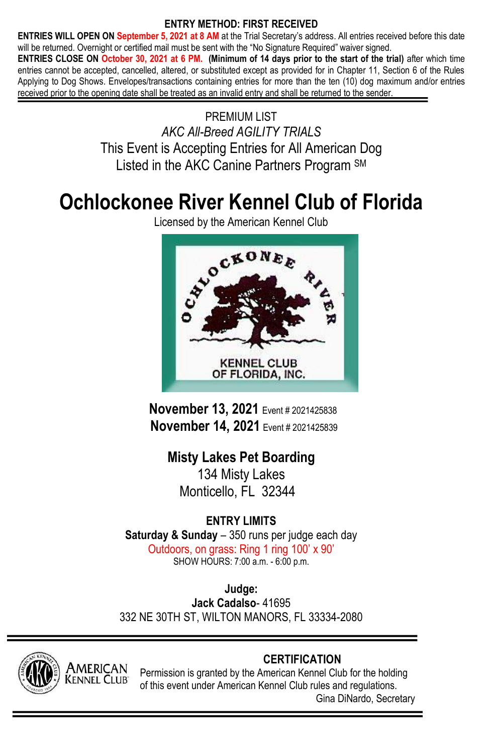# **ENTRY METHOD: FIRST RECEIVED**

**ENTRIES WILL OPEN ON September 5, 2021 at 8 AM** at the Trial Secretary's address. All entries received before this date will be returned. Overnight or certified mail must be sent with the "No Signature Required" waiver signed.

**ENTRIES CLOSE ON October 30, 2021 at 6 PM. (Minimum of 14 days prior to the start of the trial)** after which time entries cannot be accepted, cancelled, altered, or substituted except as provided for in Chapter 11, Section 6 of the Rules Applying to Dog Shows. Envelopes/transactions containing entries for more than the ten (10) dog maximum and/or entries received prior to the opening date shall be treated as an invalid entry and shall be returned to the sender.

> PREMIUM LIST *AKC All-Breed AGILITY TRIALS* This Event is Accepting Entries for All American Dog Listed in the AKC Canine Partners Program SM

# **Ochlockonee River Kennel Club of Florida**

Licensed by the American Kennel Club



**November 13, 2021** Event # <sup>2021425838</sup>  **November 14, 2021** Event # 2021425839

**Misty Lakes Pet Boarding** 134 Misty Lakes Monticello FL 32344

# **ENTRY LIMITS**

**Saturday & Sunday** – 350 runs per judge each day Outdoors, on grass: Ring 1 ring 100' x 90' SHOW HOURS: 7:00 a.m. - 6:00 p.m.

**Judge: Jack Cadalso**- 41695 332 NE 30TH ST, WILTON MANORS, FL 33334-2080



# **CERTIFICATION**

Permission is granted by the American Kennel Club for the holding of this event under American Kennel Club rules and regulations. Gina DiNardo, Secretary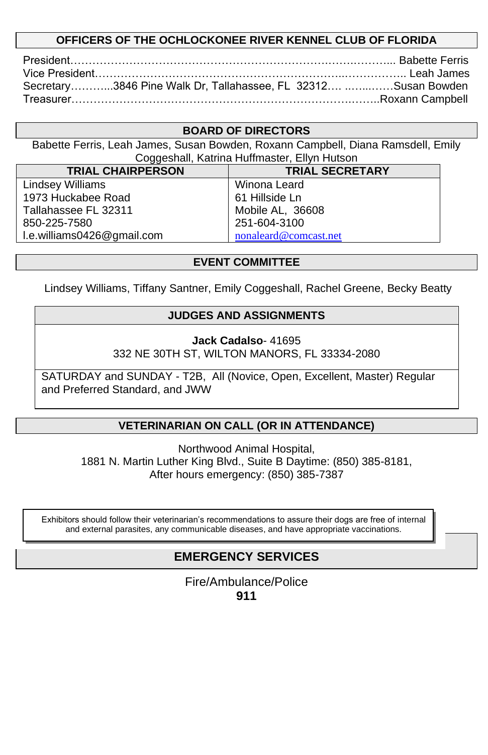# **OFFICERS OF THE OCHLOCKONEE RIVER KENNEL CLUB OF FLORIDA**

| Secretary3846 Pine Walk Dr, Tallahassee, FL 32312 Susan Bowden |  |
|----------------------------------------------------------------|--|
|                                                                |  |

### **BOARD OF DIRECTORS**

Babette Ferris, Leah James, Susan Bowden, Roxann Campbell, Diana Ramsdell, Emily Coggeshall, Katrina Huffmaster, Ellyn Hutson

| <b>TRIAL CHAIRPERSON</b>   | <b>TRIAL SECRETARY</b> |
|----------------------------|------------------------|
| <b>Lindsey Williams</b>    | Winona Leard           |
| 1973 Huckabee Road         | 61 Hillside Ln         |
| Tallahassee FL 32311       | Mobile AL, 36608       |
| 850-225-7580               | 251-604-3100           |
| I.e.williams0426@gmail.com | nonaleard@comcast.net  |

#### **EVENT COMMITTEE**

Lindsey Williams, Tiffany Santner, Emily Coggeshall, Rachel Greene, Becky Beatty

# **JUDGES AND ASSIGNMENTS**

**Jack Cadalso**- 41695 332 NE 30TH ST, WILTON MANORS, FL 33334-2080

SATURDAY and SUNDAY - T2B, All (Novice, Open, Excellent, Master) Regular and Preferred Standard, and JWW

# **VETERINARIAN ON CALL (OR IN ATTENDANCE)**

Northwood Animal Hospital, 1881 N. Martin Luther King Blvd., Suite B Daytime: (850) 385-8181, After hours emergency: (850) 385-7387

Exhibitors should follow their veterinarian's recommendations to assure their dogs are free of internal and external parasites, any communicable diseases, and have appropriate vaccinations.

# **EMERGENCY SERVICES**

Fire/Ambulance/Police **911**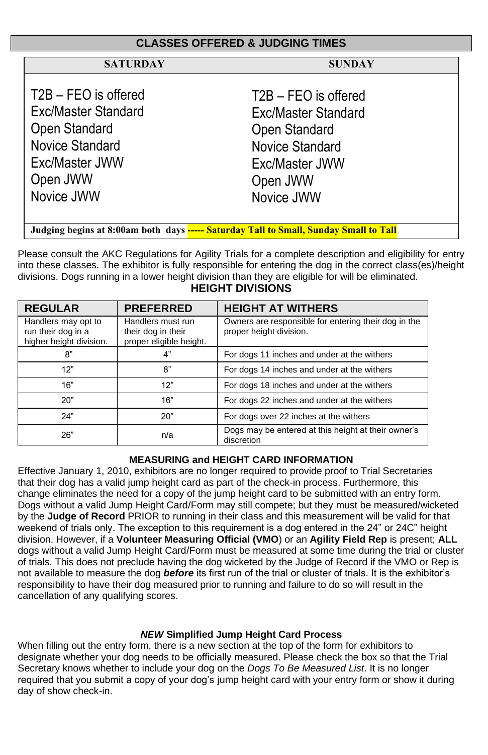| <b>CLASSES OFFERED &amp; JUDGING TIMES</b>                                                                                  |                                                                                                                                    |  |  |  |  |
|-----------------------------------------------------------------------------------------------------------------------------|------------------------------------------------------------------------------------------------------------------------------------|--|--|--|--|
| <b>SATURDAY</b>                                                                                                             | <b>SUNDAY</b>                                                                                                                      |  |  |  |  |
| T2B - FEO is offered<br>Exc/Master Standard<br>Open Standard<br>Novice Standard<br>Exc/Master JWW<br>Open JWW<br>Novice JWW | T2B - FEO is offered<br>Exc/Master Standard<br>Open Standard<br><b>Novice Standard</b><br>Exc/Master JWW<br>Open JWW<br>Novice JWW |  |  |  |  |
| Judging begins at 8:00am both days ----- Saturday Tall to Small, Sunday Small to Tall                                       |                                                                                                                                    |  |  |  |  |

Please consult the AKC Regulations for Agility Trials for a complete description and eligibility for entry into these classes. The exhibitor is fully responsible for entering the dog in the correct class(es)/height divisions. Dogs running in a lower height division than they are eligible for will be eliminated.

# **HEIGHT DIVISIONS**

| <b>REGULAR</b>                                                       | <b>PREFERRED</b>                                                   | <b>HEIGHT AT WITHERS</b>                                                        |
|----------------------------------------------------------------------|--------------------------------------------------------------------|---------------------------------------------------------------------------------|
| Handlers may opt to<br>run their dog in a<br>higher height division. | Handlers must run<br>their dog in their<br>proper eligible height. | Owners are responsible for entering their dog in the<br>proper height division. |
| 8"                                                                   | 4"                                                                 | For dogs 11 inches and under at the withers                                     |
| 12"                                                                  | 8"                                                                 | For dogs 14 inches and under at the withers                                     |
| 16"                                                                  | 12"                                                                | For dogs 18 inches and under at the withers                                     |
| 20"                                                                  | 16"                                                                | For dogs 22 inches and under at the withers                                     |
| 24"                                                                  | 20"                                                                | For dogs over 22 inches at the withers                                          |
| 26"                                                                  | n/a                                                                | Dogs may be entered at this height at their owner's<br>discretion               |

#### **MEASURING and HEIGHT CARD INFORMATION**

Effective January 1, 2010, exhibitors are no longer required to provide proof to Trial Secretaries that their dog has a valid jump height card as part of the check-in process. Furthermore, this change eliminates the need for a copy of the jump height card to be submitted with an entry form. Dogs without a valid Jump Height Card/Form may still compete; but they must be measured/wicketed by the **Judge of Record** PRIOR to running in their class and this measurement will be valid for that weekend of trials only. The exception to this requirement is a dog entered in the 24" or 24C" height division. However, if a **Volunteer Measuring Official (VMO**) or an **Agility Field Rep** is present; **ALL** dogs without a valid Jump Height Card/Form must be measured at some time during the trial or cluster of trials. This does not preclude having the dog wicketed by the Judge of Record if the VMO or Rep is not available to measure the dog *before* its first run of the trial or cluster of trials. It is the exhibitor's responsibility to have their dog measured prior to running and failure to do so will result in the cancellation of any qualifying scores.

#### *NEW* **Simplified Jump Height Card Process**

When filling out the entry form, there is a new section at the top of the form for exhibitors to designate whether your dog needs to be officially measured. Please check the box so that the Trial Secretary knows whether to include your dog on the *Dogs To Be Measured List*. It is no longer required that you submit a copy of your dog's jump height card with your entry form or show it during day of show check-in.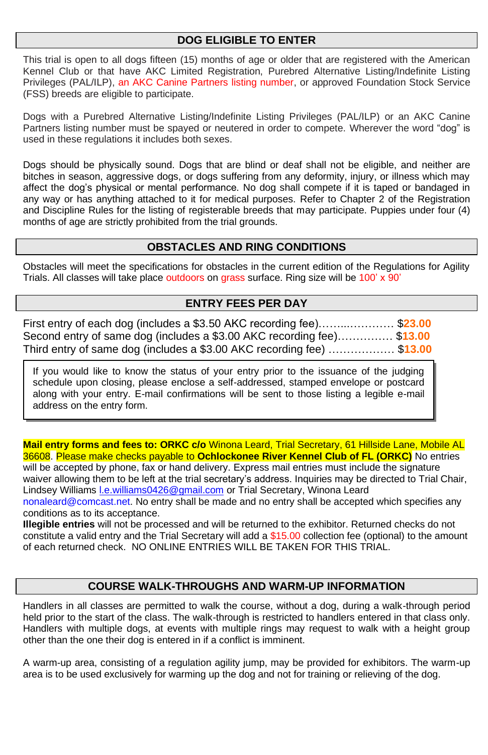# **DOG ELIGIBLE TO ENTER**

This trial is open to all dogs fifteen (15) months of age or older that are registered with the American Kennel Club or that have AKC Limited Registration, Purebred Alternative Listing/Indefinite Listing Privileges (PAL/ILP), an AKC Canine Partners listing number, or approved Foundation Stock Service (FSS) breeds are eligible to participate.

Dogs with a Purebred Alternative Listing/Indefinite Listing Privileges (PAL/ILP) or an AKC Canine Partners listing number must be spayed or neutered in order to compete. Wherever the word "dog" is used in these regulations it includes both sexes.

Dogs should be physically sound. Dogs that are blind or deaf shall not be eligible, and neither are bitches in season, aggressive dogs, or dogs suffering from any deformity, injury, or illness which may affect the dog's physical or mental performance. No dog shall compete if it is taped or bandaged in any way or has anything attached to it for medical purposes. Refer to Chapter 2 of the Registration and Discipline Rules for the listing of registerable breeds that may participate. Puppies under four (4) months of age are strictly prohibited from the trial grounds.

### **OBSTACLES AND RING CONDITIONS**

Obstacles will meet the specifications for obstacles in the current edition of the Regulations for Agility Trials. All classes will take place outdoors on grass surface. Ring size will be 100' x 90'

### **ENTRY FEES PER DAY**

| First entry of each dog (includes a \$3.50 AKC recording fee)\$23.00                 |  |
|--------------------------------------------------------------------------------------|--|
| Second entry of same dog (includes a \$3.00 AKC recording fee) \$13.00               |  |
| Third entry of same dog (includes a \$3.00 AKC recording fee) ………………         \$13.00 |  |

If you would like to know the status of your entry prior to the issuance of the judging schedule upon closing, please enclose a self-addressed, stamped envelope or postcard along with your entry. E-mail confirmations will be sent to those listing a legible e-mail address on the entry form.

**Mail entry forms and fees to: ORKC c/o** Winona Leard, Trial Secretary, 61 Hillside Lane, Mobile AL 36608. Please make checks payable to **Ochlockonee River Kennel Club of FL (ORKC)** No entries will be accepted by phone, fax or hand delivery. Express mail entries must include the signature waiver allowing them to be left at the trial secretary's address. Inquiries may be directed to Trial Chair, Lindsey Williams I.e.williams0426@gmail.com or Trial Secretary, Winona Leard nonaleard@comcast.net. No entry shall be made and no entry shall be accepted which specifies any conditions as to its acceptance.

**Illegible entries** will not be processed and will be returned to the exhibitor. Returned checks do not constitute a valid entry and the Trial Secretary will add a \$15.00 collection fee (optional) to the amount of each returned check. NO ONLINE ENTRIES WILL BE TAKEN FOR THIS TRIAL.

# **COURSE WALK-THROUGHS AND WARM-UP INFORMATION**

Handlers in all classes are permitted to walk the course, without a dog, during a walk-through period held prior to the start of the class. The walk-through is restricted to handlers entered in that class only. Handlers with multiple dogs, at events with multiple rings may request to walk with a height group other than the one their dog is entered in if a conflict is imminent.

A warm-up area, consisting of a regulation agility jump, may be provided for exhibitors. The warm-up area is to be used exclusively for warming up the dog and not for training or relieving of the dog.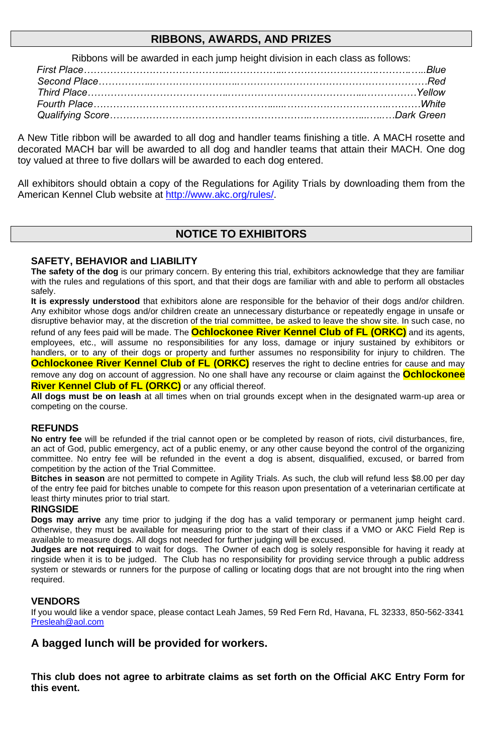#### **RIBBONS, AWARDS, AND PRIZES**

Ribbons will be awarded in each jump height division in each class as follows:

A New Title ribbon will be awarded to all dog and handler teams finishing a title. A MACH rosette and decorated MACH bar will be awarded to all dog and handler teams that attain their MACH. One dog toy valued at three to five dollars will be awarded to each dog entered.

All exhibitors should obtain a copy of the Regulations for Agility Trials by downloading them from the American Kennel Club website a[t http://www.akc.org/rules/.](http://www.akc.org/rules/)

# **NOTICE TO EXHIBITORS**

#### **SAFETY, BEHAVIOR and LIABILITY**

**The safety of the dog** is our primary concern. By entering this trial, exhibitors acknowledge that they are familiar with the rules and regulations of this sport, and that their dogs are familiar with and able to perform all obstacles safely.

**It is expressly understood** that exhibitors alone are responsible for the behavior of their dogs and/or children. Any exhibitor whose dogs and/or children create an unnecessary disturbance or repeatedly engage in unsafe or disruptive behavior may, at the discretion of the trial committee, be asked to leave the show site. In such case, no refund of any fees paid will be made. The **Ochlockonee River Kennel Club of FL (ORKC)** and its agents, employees, etc., will assume no responsibilities for any loss, damage or injury sustained by exhibitors or handlers, or to any of their dogs or property and further assumes no responsibility for injury to children. The **Ochlockonee River Kennel Club of FL (ORKC)** reserves the right to decline entries for cause and may remove any dog on account of aggression. No one shall have any recourse or claim against the **Ochlockonee** 

**River Kennel Club of FL (ORKC)** or any official thereof.

**All dogs must be on leash** at all times when on trial grounds except when in the designated warm-up area or competing on the course.

#### **REFUNDS**

**No entry fee** will be refunded if the trial cannot open or be completed by reason of riots, civil disturbances, fire, an act of God, public emergency, act of a public enemy, or any other cause beyond the control of the organizing committee. No entry fee will be refunded in the event a dog is absent, disqualified, excused, or barred from competition by the action of the Trial Committee.

**Bitches in season** are not permitted to compete in Agility Trials. As such, the club will refund less \$8.00 per day of the entry fee paid for bitches unable to compete for this reason upon presentation of a veterinarian certificate at least thirty minutes prior to trial start.

#### **RINGSIDE**

**Dogs may arrive** any time prior to judging if the dog has a valid temporary or permanent jump height card. Otherwise, they must be available for measuring prior to the start of their class if a VMO or AKC Field Rep is available to measure dogs. All dogs not needed for further judging will be excused.

**Judges are not required** to wait for dogs. The Owner of each dog is solely responsible for having it ready at ringside when it is to be judged. The Club has no responsibility for providing service through a public address system or stewards or runners for the purpose of calling or locating dogs that are not brought into the ring when required.

#### **VENDORS**

If you would like a vendor space, please contact Leah James, 59 Red Fern Rd, Havana, FL 32333, 850-562-3341 [Presleah@aol.com](mailto:Presleah@aol.com)

#### **A bagged lunch will be provided for workers.**

**This club does not agree to arbitrate claims as set forth on the Official AKC Entry Form for this event.**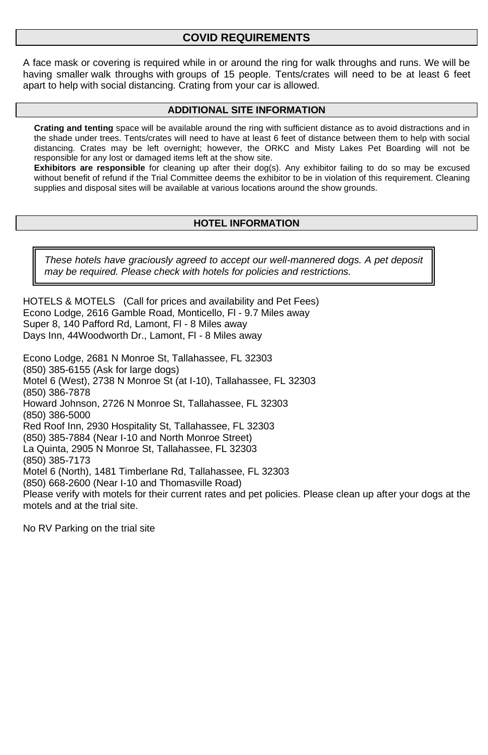### **COVID REQUIREMENTS**

A face mask or covering is required while in or around the ring for walk throughs and runs. We will be having smaller walk throughs with groups of 15 people. Tents/crates will need to be at least 6 feet apart to help with social distancing. Crating from your car is allowed.

#### **ADDITIONAL SITE INFORMATION**

**Crating and tenting** space will be available around the ring with sufficient distance as to avoid distractions and in the shade under trees. Tents/crates will need to have at least 6 feet of distance between them to help with social distancing. Crates may be left overnight; however, the ORKC and Misty Lakes Pet Boarding will not be responsible for any lost or damaged items left at the show site.

**Exhibitors are responsible** for cleaning up after their dog(s). Any exhibitor failing to do so may be excused without benefit of refund if the Trial Committee deems the exhibitor to be in violation of this requirement. Cleaning supplies and disposal sites will be available at various locations around the show grounds.

#### **HOTEL INFORMATION**

*These hotels have graciously agreed to accept our well-mannered dogs. A pet deposit may be required. Please check with hotels for policies and restrictions.* 

HOTELS & MOTELS (Call for prices and availability and Pet Fees) Econo Lodge, 2616 Gamble Road, Monticello, Fl - 9.7 Miles away Super 8, 140 Pafford Rd, Lamont, Fl - 8 Miles away Days Inn, 44Woodworth Dr., Lamont, Fl - 8 Miles away

Econo Lodge, 2681 N Monroe St, Tallahassee, FL 32303 (850) 385-6155 (Ask for large dogs) Motel 6 (West), 2738 N Monroe St (at I-10), Tallahassee, FL 32303 (850) 386-7878 Howard Johnson, 2726 N Monroe St, Tallahassee, FL 32303 (850) 386-5000 Red Roof Inn, 2930 Hospitality St, Tallahassee, FL 32303 (850) 385-7884 (Near I-10 and North Monroe Street) La Quinta, 2905 N Monroe St, Tallahassee, FL 32303 (850) 385-7173 Motel 6 (North), 1481 Timberlane Rd, Tallahassee, FL 32303 (850) 668-2600 (Near I-10 and Thomasville Road) Please verify with motels for their current rates and pet policies. Please clean up after your dogs at the motels and at the trial site.

No RV Parking on the trial site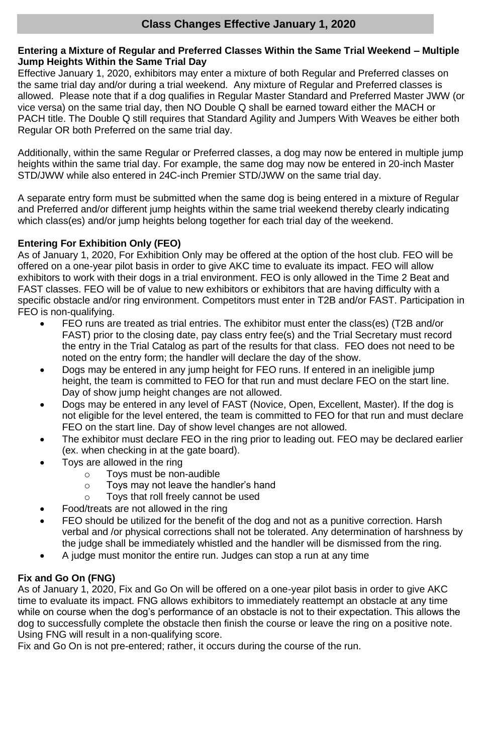#### **Entering a Mixture of Regular and Preferred Classes Within the Same Trial Weekend – Multiple Jump Heights Within the Same Trial Day**

Effective January 1, 2020, exhibitors may enter a mixture of both Regular and Preferred classes on the same trial day and/or during a trial weekend. Any mixture of Regular and Preferred classes is allowed. Please note that if a dog qualifies in Regular Master Standard and Preferred Master JWW (or vice versa) on the same trial day, then NO Double Q shall be earned toward either the MACH or PACH title. The Double Q still requires that Standard Agility and Jumpers With Weaves be either both Regular OR both Preferred on the same trial day.

Additionally, within the same Regular or Preferred classes, a dog may now be entered in multiple jump heights within the same trial day. For example, the same dog may now be entered in 20-inch Master STD/JWW while also entered in 24C-inch Premier STD/JWW on the same trial day.

A separate entry form must be submitted when the same dog is being entered in a mixture of Regular and Preferred and/or different jump heights within the same trial weekend thereby clearly indicating which class(es) and/or jump heights belong together for each trial day of the weekend.

#### **Entering For Exhibition Only (FEO)**

As of January 1, 2020, For Exhibition Only may be offered at the option of the host club. FEO will be offered on a one-year pilot basis in order to give AKC time to evaluate its impact. FEO will allow exhibitors to work with their dogs in a trial environment. FEO is only allowed in the Time 2 Beat and FAST classes. FEO will be of value to new exhibitors or exhibitors that are having difficulty with a specific obstacle and/or ring environment. Competitors must enter in T2B and/or FAST. Participation in FEO is non-qualifying.

- FEO runs are treated as trial entries. The exhibitor must enter the class(es) (T2B and/or FAST) prior to the closing date, pay class entry fee(s) and the Trial Secretary must record the entry in the Trial Catalog as part of the results for that class. FEO does not need to be noted on the entry form; the handler will declare the day of the show.
- Dogs may be entered in any jump height for FEO runs. If entered in an ineligible jump height, the team is committed to FEO for that run and must declare FEO on the start line. Day of show jump height changes are not allowed.
- Dogs may be entered in any level of FAST (Novice, Open, Excellent, Master). If the dog is not eligible for the level entered, the team is committed to FEO for that run and must declare FEO on the start line. Day of show level changes are not allowed.
- The exhibitor must declare FEO in the ring prior to leading out. FEO may be declared earlier (ex. when checking in at the gate board).
- Toys are allowed in the ring
	- o Toys must be non-audible
	- o Toys may not leave the handler's hand
	- o Toys that roll freely cannot be used
- Food/treats are not allowed in the ring
- FEO should be utilized for the benefit of the dog and not as a punitive correction. Harsh verbal and /or physical corrections shall not be tolerated. Any determination of harshness by the judge shall be immediately whistled and the handler will be dismissed from the ring.
- A judge must monitor the entire run. Judges can stop a run at any time

#### **Fix and Go On (FNG)**

As of January 1, 2020, Fix and Go On will be offered on a one-year pilot basis in order to give AKC time to evaluate its impact. FNG allows exhibitors to immediately reattempt an obstacle at any time while on course when the dog's performance of an obstacle is not to their expectation. This allows the dog to successfully complete the obstacle then finish the course or leave the ring on a positive note. Using FNG will result in a non-qualifying score.

Fix and Go On is not pre-entered; rather, it occurs during the course of the run.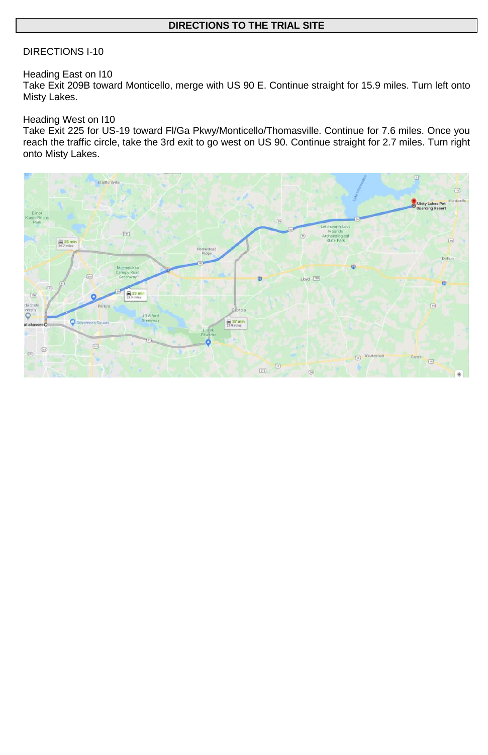#### **DIRECTIONS TO THE TRIAL SITE**

#### DIRECTIONS I-10

#### Heading East on I10

Take Exit 209B toward Monticello, merge with US 90 E. Continue straight for 15.9 miles. Turn left onto Misty Lakes.

#### Heading West on I10

Take Exit 225 for US-19 toward Fl/Ga Pkwy/Monticello/Thomasville. Continue for 7.6 miles. Once you reach the traffic circle, take the 3rd exit to go west on US 90. Continue straight for 2.7 miles. Turn right onto Misty Lakes.

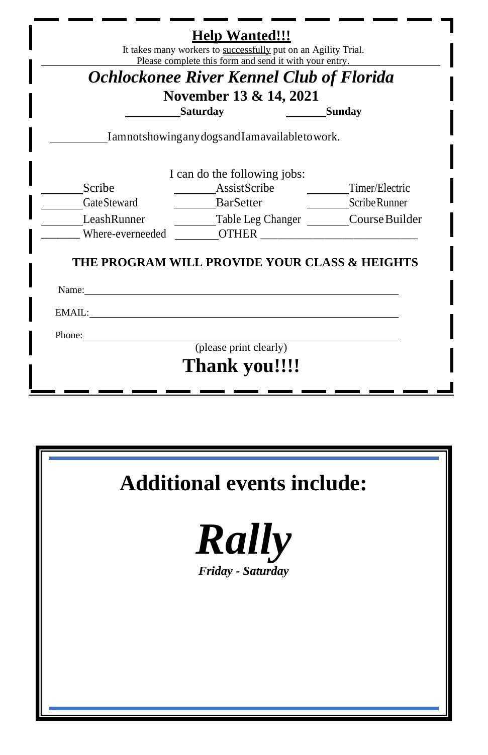| Ochlockonee River Kennel Club of Florida<br>November 13 & 14, 2021<br><b>Saturday</b><br><b>Sunday</b><br>Iamnotshowing any dogs and I amavailable to work.<br>I can do the following jobs:<br>AssistScribe<br>Scribe<br>Timer/Electric<br>Gate Steward<br><b>BarSetter</b><br>Scribe Runner<br>LeashRunner<br>Table Leg Changer ________Course Builder<br>Where-everneeded<br><b>OTHER</b><br>THE PROGRAM WILL PROVIDE YOUR CLASS & HEIGHTS<br>Name: Name<br>EMAIL:<br>Phone:<br>(please print clearly) | Please complete this form and send it with your entry. |  |
|----------------------------------------------------------------------------------------------------------------------------------------------------------------------------------------------------------------------------------------------------------------------------------------------------------------------------------------------------------------------------------------------------------------------------------------------------------------------------------------------------------|--------------------------------------------------------|--|
|                                                                                                                                                                                                                                                                                                                                                                                                                                                                                                          |                                                        |  |
|                                                                                                                                                                                                                                                                                                                                                                                                                                                                                                          |                                                        |  |
|                                                                                                                                                                                                                                                                                                                                                                                                                                                                                                          |                                                        |  |
|                                                                                                                                                                                                                                                                                                                                                                                                                                                                                                          |                                                        |  |
|                                                                                                                                                                                                                                                                                                                                                                                                                                                                                                          |                                                        |  |
|                                                                                                                                                                                                                                                                                                                                                                                                                                                                                                          |                                                        |  |
|                                                                                                                                                                                                                                                                                                                                                                                                                                                                                                          |                                                        |  |
|                                                                                                                                                                                                                                                                                                                                                                                                                                                                                                          |                                                        |  |
|                                                                                                                                                                                                                                                                                                                                                                                                                                                                                                          |                                                        |  |
|                                                                                                                                                                                                                                                                                                                                                                                                                                                                                                          |                                                        |  |
|                                                                                                                                                                                                                                                                                                                                                                                                                                                                                                          |                                                        |  |
|                                                                                                                                                                                                                                                                                                                                                                                                                                                                                                          |                                                        |  |
|                                                                                                                                                                                                                                                                                                                                                                                                                                                                                                          |                                                        |  |
|                                                                                                                                                                                                                                                                                                                                                                                                                                                                                                          |                                                        |  |
|                                                                                                                                                                                                                                                                                                                                                                                                                                                                                                          |                                                        |  |
|                                                                                                                                                                                                                                                                                                                                                                                                                                                                                                          |                                                        |  |
|                                                                                                                                                                                                                                                                                                                                                                                                                                                                                                          |                                                        |  |
| Thank you!!!!                                                                                                                                                                                                                                                                                                                                                                                                                                                                                            |                                                        |  |





*Friday - Saturday*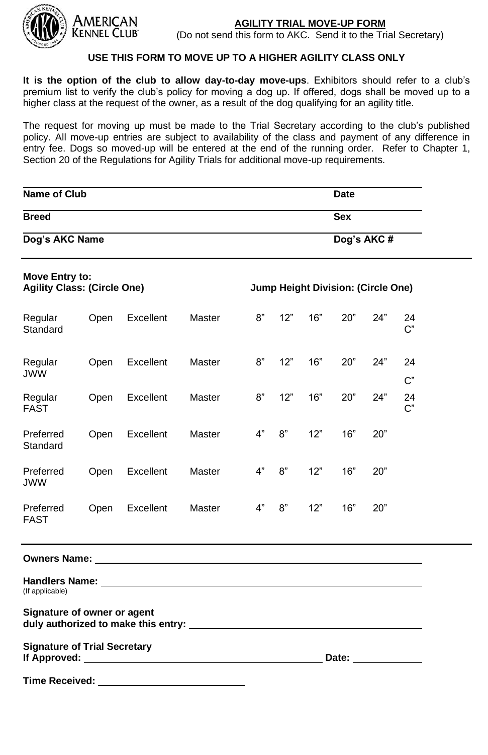

American

#### **AGILITY TRIAL MOVE-UP FORM**

(Do not send this form to AKC. Send it to the Trial Secretary)

#### **USE THIS FORM TO MOVE UP TO A HIGHER AGILITY CLASS ONLY**

**It is the option of the club to allow day-to-day move-ups**. Exhibitors should refer to a club's premium list to verify the club's policy for moving a dog up. If offered, dogs shall be moved up to a higher class at the request of the owner, as a result of the dog qualifying for an agility title.

The request for moving up must be made to the Trial Secretary according to the club's published policy. All move-up entries are subject to availability of the class and payment of any difference in entry fee. Dogs so moved-up will be entered at the end of the running order. Refer to Chapter 1, Section 20 of the Regulations for Agility Trials for additional move-up requirements.

| Name of Club<br>Date                                 |      |                                                                                                                                                                                                                                      |               |      |     |     |                                                                                                                                                                                                                                |            |             |  |
|------------------------------------------------------|------|--------------------------------------------------------------------------------------------------------------------------------------------------------------------------------------------------------------------------------------|---------------|------|-----|-----|--------------------------------------------------------------------------------------------------------------------------------------------------------------------------------------------------------------------------------|------------|-------------|--|
| <b>Breed</b>                                         |      |                                                                                                                                                                                                                                      |               | Sex  |     |     |                                                                                                                                                                                                                                |            |             |  |
| Dog's AKC Name                                       |      |                                                                                                                                                                                                                                      |               |      |     |     |                                                                                                                                                                                                                                | Dog's AKC# |             |  |
| Move Entry to:<br><b>Agility Class: (Circle One)</b> |      |                                                                                                                                                                                                                                      |               |      |     |     | Jump Height Division: (Circle One)                                                                                                                                                                                             |            |             |  |
| Regular<br>Standard                                  | Open | Excellent                                                                                                                                                                                                                            | Master        | $8"$ | 12" | 16" | 20"                                                                                                                                                                                                                            | 24"        | 24<br>$C$ " |  |
| Regular<br><b>JWW</b>                                | Open | Excellent                                                                                                                                                                                                                            | Master        | 8"   | 12" | 16" | 20"                                                                                                                                                                                                                            | 24"        | 24<br>$C$ " |  |
| Regular<br><b>FAST</b>                               | Open | Excellent                                                                                                                                                                                                                            | Master        | 8"   | 12" | 16" | 20"                                                                                                                                                                                                                            | 24"        | 24<br>$C$ " |  |
| Preferred<br>Standard                                | Open | Excellent                                                                                                                                                                                                                            | <b>Master</b> | 4"   | 8"  | 12" | 16"                                                                                                                                                                                                                            | 20"        |             |  |
| Preferred<br><b>JWW</b>                              | Open | Excellent                                                                                                                                                                                                                            | Master        | 4"   | 8"  | 12" | 16"                                                                                                                                                                                                                            | 20"        |             |  |
| Preferred<br><b>FAST</b>                             | Open | Excellent                                                                                                                                                                                                                            | Master        | 4"   | 8"  | 12" | 16"                                                                                                                                                                                                                            | 20"        |             |  |
|                                                      |      | Owners Name: Name: Name Supply and Supply of the Contract of the Contract of the Contract of the Contract of the Contract of the Contract of the Contract of the Contract of the Contract of the Contract of the Contract of t       |               |      |     |     |                                                                                                                                                                                                                                |            |             |  |
| (If applicable)                                      |      |                                                                                                                                                                                                                                      |               |      |     |     |                                                                                                                                                                                                                                |            |             |  |
| Signature of owner or agent                          |      |                                                                                                                                                                                                                                      |               |      |     |     |                                                                                                                                                                                                                                |            |             |  |
| <b>Signature of Trial Secretary</b>                  |      | If Approved: <u>said and a series of the series of the series of the series of the series of the series of the series of the series of the series of the series of the series of the series of the series of the series of the s</u> |               |      |     |     | Date: the contract of the contract of the contract of the contract of the contract of the contract of the contract of the contract of the contract of the contract of the contract of the contract of the contract of the cont |            |             |  |
| Time Received: ___                                   |      |                                                                                                                                                                                                                                      |               |      |     |     |                                                                                                                                                                                                                                |            |             |  |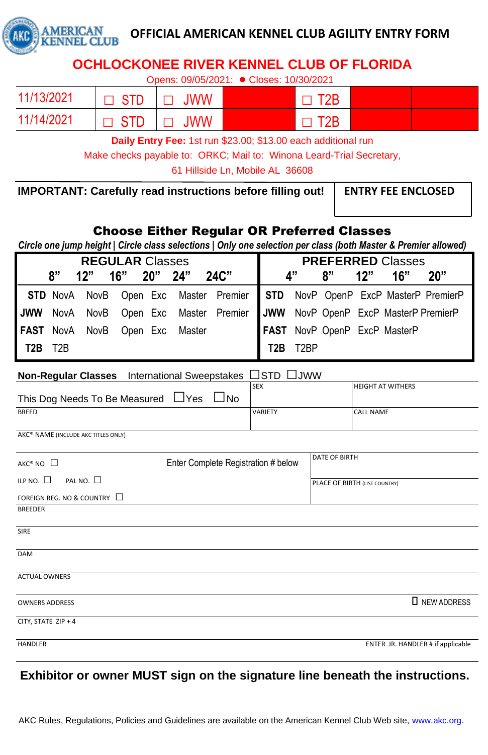

# **OFFICIAL AMERICAN KENNEL CLUB AGILITY ENTRY FORM**

# **OCHLOCKONEE RIVER KENNEL CLUB OF FLORIDA**

Opens: 09/05/2021: **●** Closes: 10/30/2021

| 11/13/2021 | $\Box$ STD | $\Box$ JWW | $\Box$ T <sub>2</sub> B |  |
|------------|------------|------------|-------------------------|--|
| 11/14/2021 | $\Box$ STD | $\Box$ JWW | $\Box$ T <sub>2</sub> B |  |

**Daily Entry Fee:** 1st run \$23.00; \$13.00 each additional run

Make checks payable to: ORKC; Mail to: Winona Leard-Trial Secretary,

61 Hillside Ln, Mobile AL 36608

**IMPORTANT: Carefully read instructions before filling out!** ENTRY FEE ENCLOSED

# Choose Either Regular OR Preferred Classes

*Circle one jump height | Circle class selections | Only one selection per class (both Master & Premier allowed)*

| <b>REGULAR Classes</b> |    |  |  |  |                                |                                                                            |                       | <b>PREFERRED Classes</b> |  |                              |  |
|------------------------|----|--|--|--|--------------------------------|----------------------------------------------------------------------------|-----------------------|--------------------------|--|------------------------------|--|
|                        | "י |  |  |  | 12" 16" 20" 24" 24C"           |                                                                            |                       | 4"                       |  | $8"$ $12"$ $16"$ $20"$       |  |
|                        |    |  |  |  |                                | STD NovA NovB Open Exc Master Premier STD NovP OpenP ExcP MasterP PremierP |                       |                          |  |                              |  |
|                        |    |  |  |  |                                | JWW NovA NovB Open Exc Master Premier JWW NovP OpenP ExcP MasterP PremierP |                       |                          |  |                              |  |
|                        |    |  |  |  | FAST NovA NovB Open Exc Master |                                                                            |                       |                          |  | FAST NovP OpenP ExcP MasterP |  |
| <b>T2B</b> T2B         |    |  |  |  |                                |                                                                            | $\overline{$ T2B T2BP |                          |  |                              |  |

**Non-Regular Classes** International Sweepstakes □STD □JWW

| This Dog Needs To Be Measured ∐Yes<br>$\Box$ No | <b>SEX</b> | <b>HEIGHT AT WITHERS</b> |
|-------------------------------------------------|------------|--------------------------|
| <b>BREED</b>                                    | VARIETY    | <b>CALL NAME</b>         |

AKC® NAME (INCLUDE AKC TITLES ONLY)

| AKC® NO                            | Enter Complete Registration # below | DATE OF BIRTH                     |
|------------------------------------|-------------------------------------|-----------------------------------|
| PALNO. $\square$<br>ILP NO. $\Box$ |                                     | PLACE OF BIRTH (LIST COUNTRY)     |
| FOREIGN REG. NO & COUNTRY □        |                                     |                                   |
| <b>BREEDER</b>                     |                                     |                                   |
| SIRE                               |                                     |                                   |
| <b>DAM</b>                         |                                     |                                   |
| <b>ACTUAL OWNERS</b>               |                                     |                                   |
| <b>OWNERS ADDRESS</b>              |                                     | <b>I</b> NEW ADDRESS              |
| CITY, STATE ZIP + 4                |                                     |                                   |
| <b>HANDLER</b>                     |                                     | ENTER JR. HANDLER # if applicable |

# **Exhibitor or owner MUST sign on the signature line beneath the instructions.**

AKC Rules, Regulations, Policies and Guidelines are available on the American Kennel Club Web site, www.akc.org.